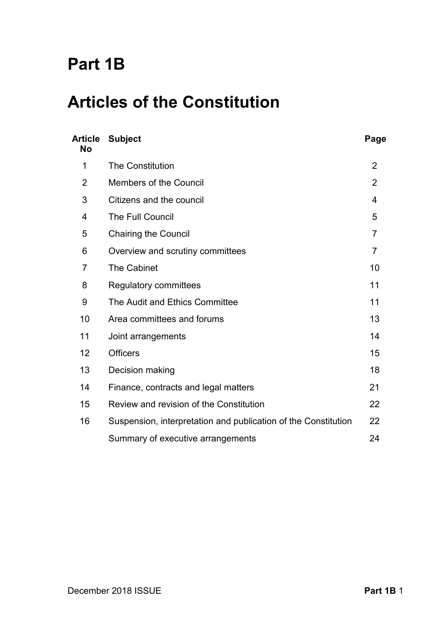# **Part 1B**

# **Articles of the Constitution**

| <b>Article</b><br><b>No</b> | <b>Subject</b>                                                 | Page           |
|-----------------------------|----------------------------------------------------------------|----------------|
| 1                           | <b>The Constitution</b>                                        | $\overline{2}$ |
| $\overline{2}$              | <b>Members of the Council</b>                                  | $\overline{2}$ |
| 3                           | Citizens and the council                                       | 4              |
| $\overline{4}$              | <b>The Full Council</b>                                        | 5              |
| 5                           | <b>Chairing the Council</b>                                    | $\overline{7}$ |
| 6                           | Overview and scrutiny committees                               | $\overline{7}$ |
| $\overline{7}$              | <b>The Cabinet</b>                                             | 10             |
| 8                           | <b>Regulatory committees</b>                                   | 11             |
| 9                           | The Audit and Ethics Committee                                 | 11             |
| 10                          | Area committees and forums                                     | 13             |
| 11                          | Joint arrangements                                             | 14             |
| 12                          | <b>Officers</b>                                                | 15             |
| 13                          | Decision making                                                | 18             |
| 14                          | Finance, contracts and legal matters                           | 21             |
| 15                          | Review and revision of the Constitution                        | 22             |
| 16                          | Suspension, interpretation and publication of the Constitution | 22             |
|                             | Summary of executive arrangements                              | 24             |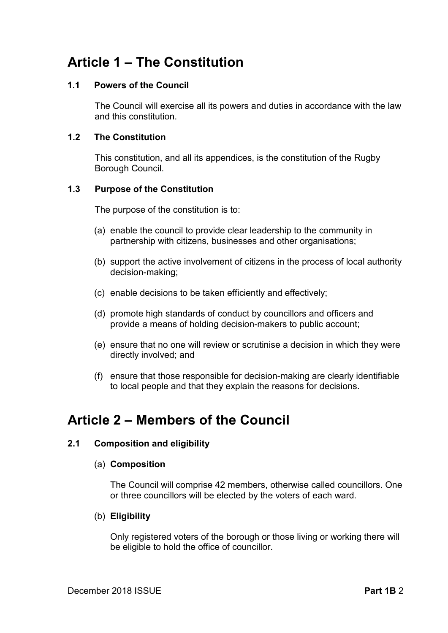# **Article 1 – The Constitution**

### **1.1 Powers of the Council**

The Council will exercise all its powers and duties in accordance with the law and this constitution.

### **1.2 The Constitution**

This constitution, and all its appendices, is the constitution of the Rugby Borough Council.

### **1.3 Purpose of the Constitution**

The purpose of the constitution is to:

- (a) enable the council to provide clear leadership to the community in partnership with citizens, businesses and other organisations;
- (b) support the active involvement of citizens in the process of local authority decision-making;
- (c) enable decisions to be taken efficiently and effectively;
- (d) promote high standards of conduct by councillors and officers and provide a means of holding decision-makers to public account;
- (e) ensure that no one will review or scrutinise a decision in which they were directly involved; and
- (f) ensure that those responsible for decision-making are clearly identifiable to local people and that they explain the reasons for decisions.

# **Article 2 – Members of the Council**

# **2.1 Composition and eligibility**

### (a) **Composition**

The Council will comprise 42 members, otherwise called councillors. One or three councillors will be elected by the voters of each ward.

# (b) **Eligibility**

Only registered voters of the borough or those living or working there will be eligible to hold the office of councillor.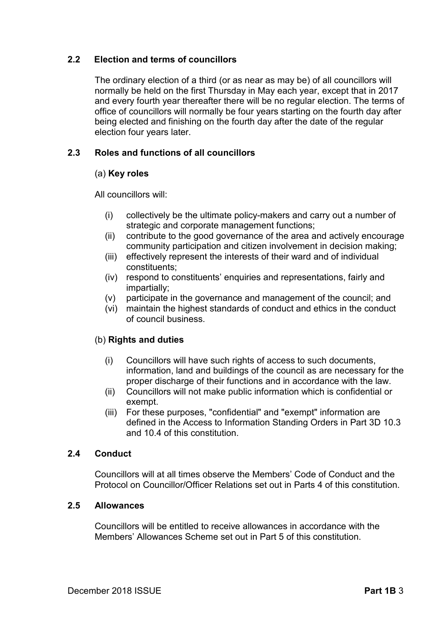# **2.2 Election and terms of councillors**

The ordinary election of a third (or as near as may be) of all councillors will normally be held on the first Thursday in May each year, except that in 2017 and every fourth year thereafter there will be no regular election. The terms of office of councillors will normally be four years starting on the fourth day after being elected and finishing on the fourth day after the date of the regular election four years later.

# **2.3 Roles and functions of all councillors**

### (a) **Key roles**

All councillors will:

- (i) collectively be the ultimate policy-makers and carry out a number of strategic and corporate management functions;
- (ii) contribute to the good governance of the area and actively encourage community participation and citizen involvement in decision making;
- (iii) effectively represent the interests of their ward and of individual constituents;
- (iv) respond to constituents' enquiries and representations, fairly and impartially;
- (v) participate in the governance and management of the council; and
- (vi) maintain the highest standards of conduct and ethics in the conduct of council business.

# (b) **Rights and duties**

- (i) Councillors will have such rights of access to such documents, information, land and buildings of the council as are necessary for the proper discharge of their functions and in accordance with the law.
- (ii) Councillors will not make public information which is confidential or exempt.
- (iii) For these purposes, "confidential" and "exempt" information are defined in the Access to Information Standing Orders in Part 3D 10.3 and 10.4 of this constitution.

### **2.4 Conduct**

Councillors will at all times observe the Members' Code of Conduct and the Protocol on Councillor/Officer Relations set out in Parts 4 of this constitution.

### **2.5 Allowances**

Councillors will be entitled to receive allowances in accordance with the Members' Allowances Scheme set out in Part 5 of this constitution.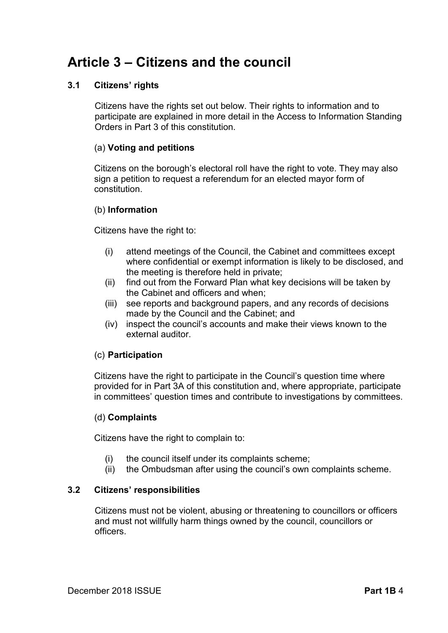# **Article 3 – Citizens and the council**

### **3.1 Citizens' rights**

Citizens have the rights set out below. Their rights to information and to participate are explained in more detail in the Access to Information Standing Orders in Part 3 of this constitution.

### (a) **Voting and petitions**

Citizens on the borough's electoral roll have the right to vote. They may also sign a petition to request a referendum for an elected mayor form of constitution.

### (b) **Information**

Citizens have the right to:

- (i) attend meetings of the Council, the Cabinet and committees except where confidential or exempt information is likely to be disclosed, and the meeting is therefore held in private;
- (ii) find out from the Forward Plan what key decisions will be taken by the Cabinet and officers and when;
- (iii) see reports and background papers, and any records of decisions made by the Council and the Cabinet; and
- (iv) inspect the council's accounts and make their views known to the external auditor.

### (c) **Participation**

Citizens have the right to participate in the Council's question time where provided for in Part 3A of this constitution and, where appropriate, participate in committees' question times and contribute to investigations by committees.

### (d) **Complaints**

Citizens have the right to complain to:

- (i) the council itself under its complaints scheme;
- (ii) the Ombudsman after using the council's own complaints scheme.

### **3.2 Citizens' responsibilities**

Citizens must not be violent, abusing or threatening to councillors or officers and must not willfully harm things owned by the council, councillors or officers.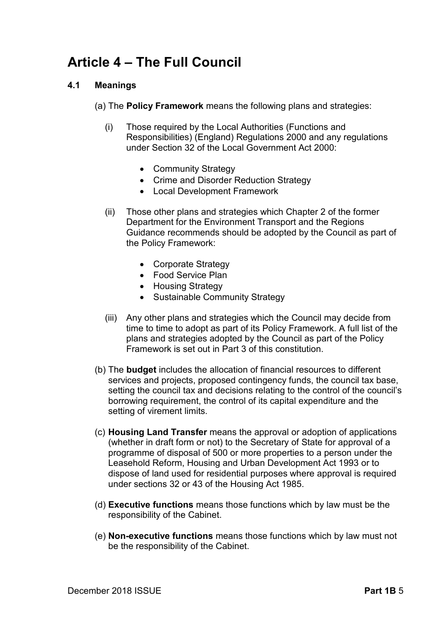# **Article 4 – The Full Council**

### **4.1 Meanings**

(a) The **Policy Framework** means the following plans and strategies:

- (i) Those required by the Local Authorities (Functions and Responsibilities) (England) Regulations 2000 and any regulations under Section 32 of the Local Government Act 2000:
	- Community Strategy
	- Crime and Disorder Reduction Strategy
	- Local Development Framework
- (ii) Those other plans and strategies which Chapter 2 of the former Department for the Environment Transport and the Regions Guidance recommends should be adopted by the Council as part of the Policy Framework:
	- Corporate Strategy
	- Food Service Plan
	- Housing Strategy
	- Sustainable Community Strategy
- (iii) Any other plans and strategies which the Council may decide from time to time to adopt as part of its Policy Framework. A full list of the plans and strategies adopted by the Council as part of the Policy Framework is set out in Part 3 of this constitution.
- (b) The **budget** includes the allocation of financial resources to different services and projects, proposed contingency funds, the council tax base, setting the council tax and decisions relating to the control of the council's borrowing requirement, the control of its capital expenditure and the setting of virement limits.
- (c) **Housing Land Transfer** means the approval or adoption of applications (whether in draft form or not) to the Secretary of State for approval of a programme of disposal of 500 or more properties to a person under the Leasehold Reform, Housing and Urban Development Act 1993 or to dispose of land used for residential purposes where approval is required under sections 32 or 43 of the Housing Act 1985.
- (d) **Executive functions** means those functions which by law must be the responsibility of the Cabinet.
- (e) **Non-executive functions** means those functions which by law must not be the responsibility of the Cabinet.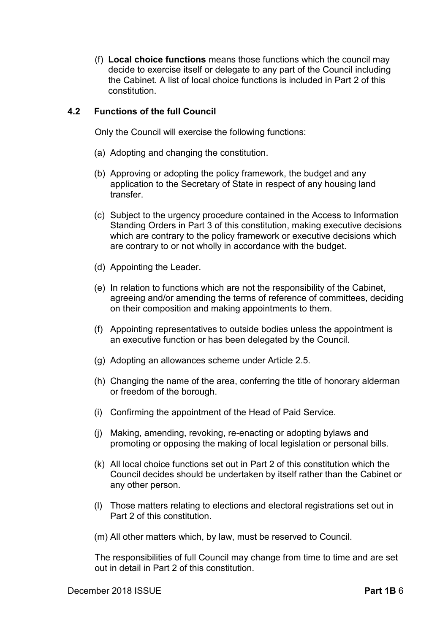(f) **Local choice functions** means those functions which the council may decide to exercise itself or delegate to any part of the Council including the Cabinet. A list of local choice functions is included in Part 2 of this constitution.

### **4.2 Functions of the full Council**

Only the Council will exercise the following functions:

- (a) Adopting and changing the constitution.
- (b) Approving or adopting the policy framework, the budget and any application to the Secretary of State in respect of any housing land transfer.
- (c) Subject to the urgency procedure contained in the Access to Information Standing Orders in Part 3 of this constitution, making executive decisions which are contrary to the policy framework or executive decisions which are contrary to or not wholly in accordance with the budget.
- (d) Appointing the Leader.
- (e) In relation to functions which are not the responsibility of the Cabinet, agreeing and/or amending the terms of reference of committees, deciding on their composition and making appointments to them.
- (f) Appointing representatives to outside bodies unless the appointment is an executive function or has been delegated by the Council.
- (g) Adopting an allowances scheme under Article 2.5.
- (h) Changing the name of the area, conferring the title of honorary alderman or freedom of the borough.
- (i) Confirming the appointment of the Head of Paid Service.
- (j) Making, amending, revoking, re-enacting or adopting bylaws and promoting or opposing the making of local legislation or personal bills.
- (k) All local choice functions set out in Part 2 of this constitution which the Council decides should be undertaken by itself rather than the Cabinet or any other person.
- (l) Those matters relating to elections and electoral registrations set out in Part 2 of this constitution.

(m) All other matters which, by law, must be reserved to Council.

The responsibilities of full Council may change from time to time and are set out in detail in Part 2 of this constitution.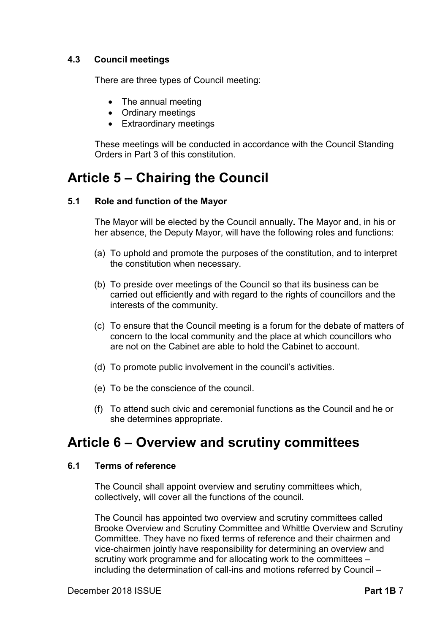### **4.3 Council meetings**

There are three types of Council meeting:

- The annual meeting
- Ordinary meetings
- Extraordinary meetings

These meetings will be conducted in accordance with the Council Standing Orders in Part 3 of this constitution.

# **Article 5 – Chairing the Council**

### **5.1 Role and function of the Mayor**

The Mayor will be elected by the Council annually**.** The Mayor and, in his or her absence, the Deputy Mayor, will have the following roles and functions:

- (a) To uphold and promote the purposes of the constitution, and to interpret the constitution when necessary.
- (b) To preside over meetings of the Council so that its business can be carried out efficiently and with regard to the rights of councillors and the interests of the community.
- (c) To ensure that the Council meeting is a forum for the debate of matters of concern to the local community and the place at which councillors who are not on the Cabinet are able to hold the Cabinet to account.
- (d) To promote public involvement in the council's activities.
- (e) To be the conscience of the council.
- (f) To attend such civic and ceremonial functions as the Council and he or she determines appropriate.

# **Article 6 – Overview and scrutiny committees**

#### **6.1 Terms of reference**

The Council shall appoint overview and scrutiny committees which, collectively, will cover all the functions of the council.

The Council has appointed two overview and scrutiny committees called Brooke Overview and Scrutiny Committee and Whittle Overview and Scrutiny Committee. They have no fixed terms of reference and their chairmen and vice-chairmen jointly have responsibility for determining an overview and scrutiny work programme and for allocating work to the committees – including the determination of call-ins and motions referred by Council –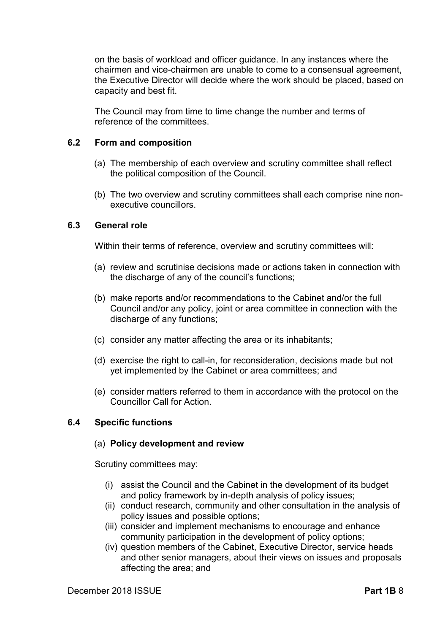on the basis of workload and officer guidance. In any instances where the chairmen and vice-chairmen are unable to come to a consensual agreement, the Executive Director will decide where the work should be placed, based on capacity and best fit.

The Council may from time to time change the number and terms of reference of the committees.

### **6.2 Form and composition**

- (a) The membership of each overview and scrutiny committee shall reflect the political composition of the Council.
- (b) The two overview and scrutiny committees shall each comprise nine nonexecutive councillors.

### **6.3 General role**

Within their terms of reference, overview and scrutiny committees will:

- (a) review and scrutinise decisions made or actions taken in connection with the discharge of any of the council's functions;
- (b) make reports and/or recommendations to the Cabinet and/or the full Council and/or any policy, joint or area committee in connection with the discharge of any functions;
- (c) consider any matter affecting the area or its inhabitants;
- (d) exercise the right to call-in, for reconsideration, decisions made but not yet implemented by the Cabinet or area committees; and
- (e) consider matters referred to them in accordance with the protocol on the Councillor Call for Action.

### **6.4 Specific functions**

### (a) **Policy development and review**

Scrutiny committees may:

- (i) assist the Council and the Cabinet in the development of its budget and policy framework by in-depth analysis of policy issues;
- (ii) conduct research, community and other consultation in the analysis of policy issues and possible options;
- (iii) consider and implement mechanisms to encourage and enhance community participation in the development of policy options;
- (iv) question members of the Cabinet, Executive Director, service heads and other senior managers, about their views on issues and proposals affecting the area; and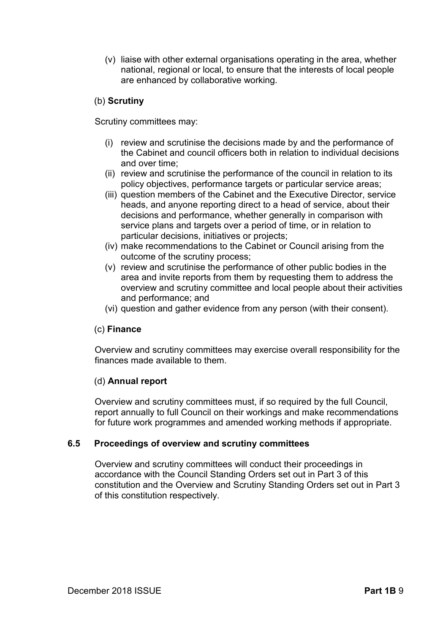(v) liaise with other external organisations operating in the area, whether national, regional or local, to ensure that the interests of local people are enhanced by collaborative working.

# (b) **Scrutiny**

Scrutiny committees may:

- (i) review and scrutinise the decisions made by and the performance of the Cabinet and council officers both in relation to individual decisions and over time;
- (ii) review and scrutinise the performance of the council in relation to its policy objectives, performance targets or particular service areas;
- (iii) question members of the Cabinet and the Executive Director, service heads, and anyone reporting direct to a head of service, about their decisions and performance, whether generally in comparison with service plans and targets over a period of time, or in relation to particular decisions, initiatives or projects;
- (iv) make recommendations to the Cabinet or Council arising from the outcome of the scrutiny process;
- (v) review and scrutinise the performance of other public bodies in the area and invite reports from them by requesting them to address the overview and scrutiny committee and local people about their activities and performance; and
- (vi) question and gather evidence from any person (with their consent).

# (c) **Finance**

Overview and scrutiny committees may exercise overall responsibility for the finances made available to them.

### (d) **Annual report**

Overview and scrutiny committees must, if so required by the full Council, report annually to full Council on their workings and make recommendations for future work programmes and amended working methods if appropriate.

### **6.5 Proceedings of overview and scrutiny committees**

Overview and scrutiny committees will conduct their proceedings in accordance with the Council Standing Orders set out in Part 3 of this constitution and the Overview and Scrutiny Standing Orders set out in Part 3 of this constitution respectively.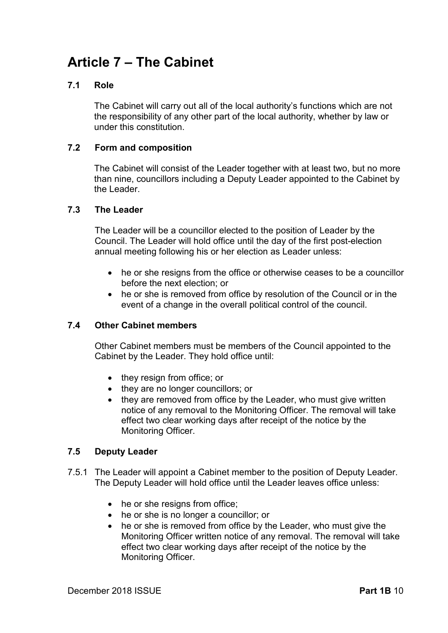# **Article 7 – The Cabinet**

### **7.1 Role**

The Cabinet will carry out all of the local authority's functions which are not the responsibility of any other part of the local authority, whether by law or under this constitution.

### **7.2 Form and composition**

The Cabinet will consist of the Leader together with at least two, but no more than nine, councillors including a Deputy Leader appointed to the Cabinet by the Leader.

### **7.3 The Leader**

The Leader will be a councillor elected to the position of Leader by the Council. The Leader will hold office until the day of the first post-election annual meeting following his or her election as Leader unless:

- he or she resigns from the office or otherwise ceases to be a councillor before the next election; or
- he or she is removed from office by resolution of the Council or in the event of a change in the overall political control of the council.

### **7.4 Other Cabinet members**

Other Cabinet members must be members of the Council appointed to the Cabinet by the Leader. They hold office until:

- they resign from office; or
- they are no longer councillors; or
- they are removed from office by the Leader, who must give written notice of any removal to the Monitoring Officer. The removal will take effect two clear working days after receipt of the notice by the Monitoring Officer.

### **7.5 Deputy Leader**

- 7.5.1 The Leader will appoint a Cabinet member to the position of Deputy Leader. The Deputy Leader will hold office until the Leader leaves office unless:
	- he or she resigns from office;
	- he or she is no longer a councillor; or
	- he or she is removed from office by the Leader, who must give the Monitoring Officer written notice of any removal. The removal will take effect two clear working days after receipt of the notice by the Monitoring Officer.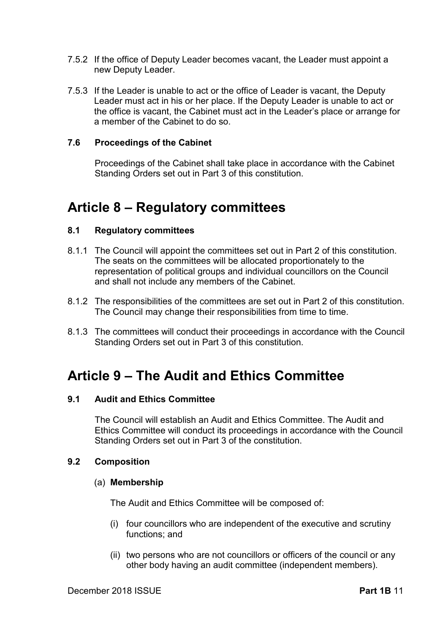- 7.5.2 If the office of Deputy Leader becomes vacant, the Leader must appoint a new Deputy Leader.
- 7.5.3 If the Leader is unable to act or the office of Leader is vacant, the Deputy Leader must act in his or her place. If the Deputy Leader is unable to act or the office is vacant, the Cabinet must act in the Leader's place or arrange for a member of the Cabinet to do so.

### **7.6 Proceedings of the Cabinet**

Proceedings of the Cabinet shall take place in accordance with the Cabinet Standing Orders set out in Part 3 of this constitution.

# **Article 8 – Regulatory committees**

### **8.1 Regulatory committees**

- 8.1.1 The Council will appoint the committees set out in Part 2 of this constitution. The seats on the committees will be allocated proportionately to the representation of political groups and individual councillors on the Council and shall not include any members of the Cabinet.
- 8.1.2 The responsibilities of the committees are set out in Part 2 of this constitution. The Council may change their responsibilities from time to time.
- 8.1.3 The committees will conduct their proceedings in accordance with the Council Standing Orders set out in Part 3 of this constitution.

# **Article 9 – The Audit and Ethics Committee**

### **9.1 Audit and Ethics Committee**

The Council will establish an Audit and Ethics Committee. The Audit and Ethics Committee will conduct its proceedings in accordance with the Council Standing Orders set out in Part 3 of the constitution.

#### **9.2 Composition**

#### (a) **Membership**

The Audit and Ethics Committee will be composed of:

- (i) four councillors who are independent of the executive and scrutiny functions; and
- (ii) two persons who are not councillors or officers of the council or any other body having an audit committee (independent members).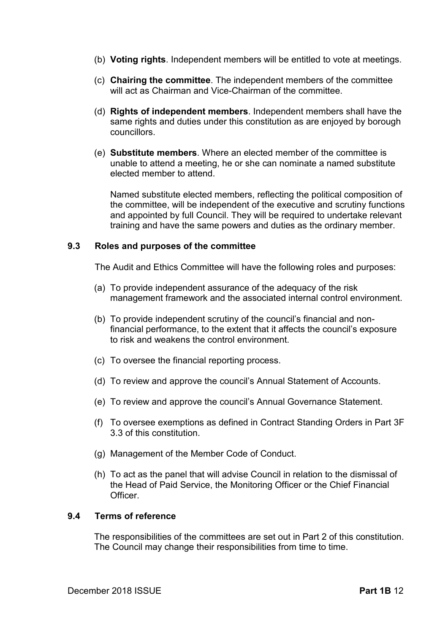- (b) **Voting rights**. Independent members will be entitled to vote at meetings.
- (c) **Chairing the committee**. The independent members of the committee will act as Chairman and Vice-Chairman of the committee.
- (d) **Rights of independent members**. Independent members shall have the same rights and duties under this constitution as are enjoyed by borough councillors.
- (e) **Substitute members**. Where an elected member of the committee is unable to attend a meeting, he or she can nominate a named substitute elected member to attend.

Named substitute elected members, reflecting the political composition of the committee, will be independent of the executive and scrutiny functions and appointed by full Council. They will be required to undertake relevant training and have the same powers and duties as the ordinary member.

### **9.3 Roles and purposes of the committee**

The Audit and Ethics Committee will have the following roles and purposes:

- (a) To provide independent assurance of the adequacy of the risk management framework and the associated internal control environment.
- (b) To provide independent scrutiny of the council's financial and nonfinancial performance, to the extent that it affects the council's exposure to risk and weakens the control environment.
- (c) To oversee the financial reporting process.
- (d) To review and approve the council's Annual Statement of Accounts.
- (e) To review and approve the council's Annual Governance Statement.
- (f) To oversee exemptions as defined in Contract Standing Orders in Part 3F 3.3 of this constitution.
- (g) Management of the Member Code of Conduct.
- (h) To act as the panel that will advise Council in relation to the dismissal of the Head of Paid Service, the Monitoring Officer or the Chief Financial **Officer**

### **9.4 Terms of reference**

The responsibilities of the committees are set out in Part 2 of this constitution. The Council may change their responsibilities from time to time.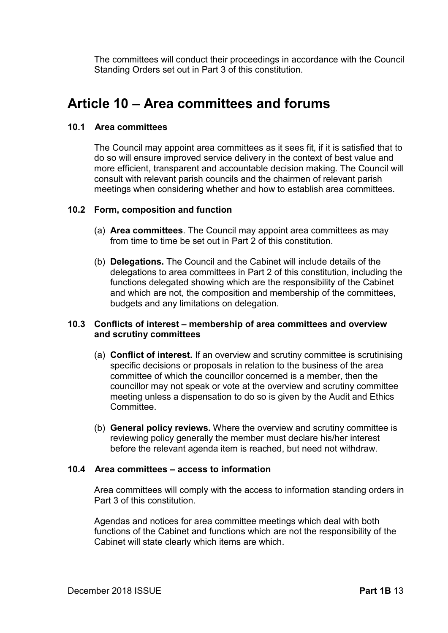The committees will conduct their proceedings in accordance with the Council Standing Orders set out in Part 3 of this constitution.

# **Article 10 – Area committees and forums**

### **10.1 Area committees**

The Council may appoint area committees as it sees fit, if it is satisfied that to do so will ensure improved service delivery in the context of best value and more efficient, transparent and accountable decision making. The Council will consult with relevant parish councils and the chairmen of relevant parish meetings when considering whether and how to establish area committees.

### **10.2 Form, composition and function**

- (a) **Area committees**. The Council may appoint area committees as may from time to time be set out in Part 2 of this constitution.
- (b) **Delegations.** The Council and the Cabinet will include details of the delegations to area committees in Part 2 of this constitution, including the functions delegated showing which are the responsibility of the Cabinet and which are not, the composition and membership of the committees, budgets and any limitations on delegation.

### **10.3 Conflicts of interest – membership of area committees and overview and scrutiny committees**

- (a) **Conflict of interest.** If an overview and scrutiny committee is scrutinising specific decisions or proposals in relation to the business of the area committee of which the councillor concerned is a member, then the councillor may not speak or vote at the overview and scrutiny committee meeting unless a dispensation to do so is given by the Audit and Ethics Committee.
- (b) **General policy reviews.** Where the overview and scrutiny committee is reviewing policy generally the member must declare his/her interest before the relevant agenda item is reached, but need not withdraw.

### **10.4 Area committees – access to information**

Area committees will comply with the access to information standing orders in Part 3 of this constitution.

Agendas and notices for area committee meetings which deal with both functions of the Cabinet and functions which are not the responsibility of the Cabinet will state clearly which items are which.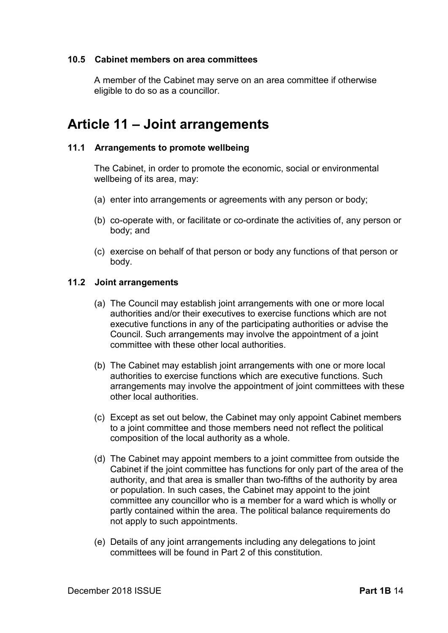### **10.5 Cabinet members on area committees**

A member of the Cabinet may serve on an area committee if otherwise eligible to do so as a councillor.

# **Article 11 – Joint arrangements**

### **11.1 Arrangements to promote wellbeing**

The Cabinet, in order to promote the economic, social or environmental wellbeing of its area, may:

- (a) enter into arrangements or agreements with any person or body;
- (b) co-operate with, or facilitate or co-ordinate the activities of, any person or body; and
- (c) exercise on behalf of that person or body any functions of that person or body.

### **11.2 Joint arrangements**

- (a) The Council may establish joint arrangements with one or more local authorities and/or their executives to exercise functions which are not executive functions in any of the participating authorities or advise the Council. Such arrangements may involve the appointment of a joint committee with these other local authorities.
- (b) The Cabinet may establish joint arrangements with one or more local authorities to exercise functions which are executive functions. Such arrangements may involve the appointment of joint committees with these other local authorities.
- (c) Except as set out below, the Cabinet may only appoint Cabinet members to a joint committee and those members need not reflect the political composition of the local authority as a whole.
- (d) The Cabinet may appoint members to a joint committee from outside the Cabinet if the joint committee has functions for only part of the area of the authority, and that area is smaller than two-fifths of the authority by area or population. In such cases, the Cabinet may appoint to the joint committee any councillor who is a member for a ward which is wholly or partly contained within the area. The political balance requirements do not apply to such appointments.
- (e) Details of any joint arrangements including any delegations to joint committees will be found in Part 2 of this constitution.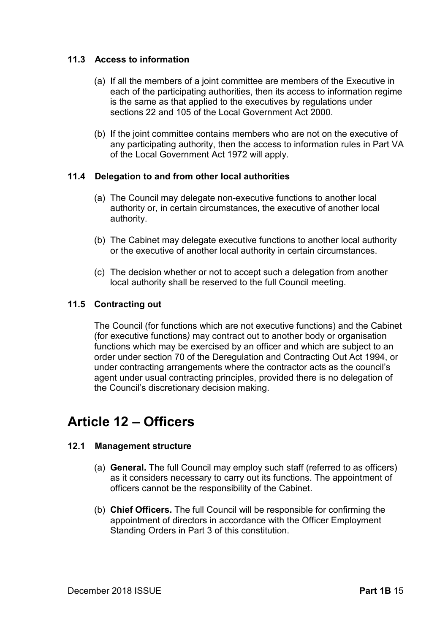### **11.3 Access to information**

- (a) If all the members of a joint committee are members of the Executive in each of the participating authorities, then its access to information regime is the same as that applied to the executives by regulations under sections 22 and 105 of the Local Government Act 2000.
- (b) If the joint committee contains members who are not on the executive of any participating authority, then the access to information rules in Part VA of the Local Government Act 1972 will apply.

### **11.4 Delegation to and from other local authorities**

- (a) The Council may delegate non-executive functions to another local authority or, in certain circumstances, the executive of another local authority.
- (b) The Cabinet may delegate executive functions to another local authority or the executive of another local authority in certain circumstances.
- (c) The decision whether or not to accept such a delegation from another local authority shall be reserved to the full Council meeting.

### **11.5 Contracting out**

The Council (for functions which are not executive functions) and the Cabinet (for executive functions*)* may contract out to another body or organisation functions which may be exercised by an officer and which are subject to an order under section 70 of the Deregulation and Contracting Out Act 1994, or under contracting arrangements where the contractor acts as the council's agent under usual contracting principles, provided there is no delegation of the Council's discretionary decision making.

# **Article 12 – Officers**

### **12.1 Management structure**

- (a) **General.** The full Council may employ such staff (referred to as officers) as it considers necessary to carry out its functions. The appointment of officers cannot be the responsibility of the Cabinet.
- (b) **Chief Officers.** The full Council will be responsible for confirming the appointment of directors in accordance with the Officer Employment Standing Orders in Part 3 of this constitution.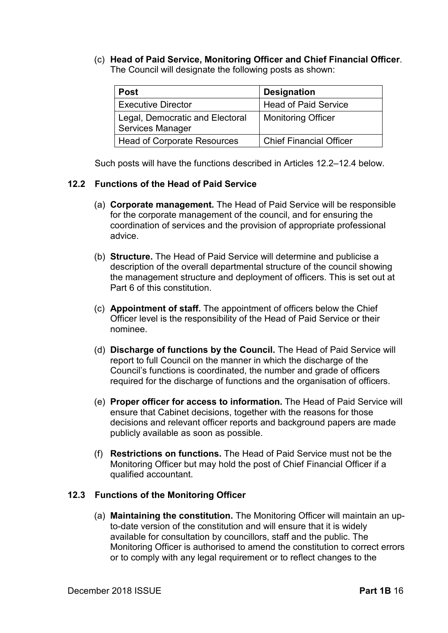(c) **Head of Paid Service, Monitoring Officer and Chief Financial Officer**. The Council will designate the following posts as shown:

| <b>Post</b>                                                | <b>Designation</b>             |
|------------------------------------------------------------|--------------------------------|
| <b>Executive Director</b>                                  | <b>Head of Paid Service</b>    |
| Legal, Democratic and Electoral<br><b>Services Manager</b> | <b>Monitoring Officer</b>      |
| <b>Head of Corporate Resources</b>                         | <b>Chief Financial Officer</b> |

Such posts will have the functions described in Articles 12.2–12.4 below.

### **12.2 Functions of the Head of Paid Service**

- (a) **Corporate management.** The Head of Paid Service will be responsible for the corporate management of the council, and for ensuring the coordination of services and the provision of appropriate professional advice.
- (b) **Structure.** The Head of Paid Service will determine and publicise a description of the overall departmental structure of the council showing the management structure and deployment of officers. This is set out at Part 6 of this constitution.
- (c) **Appointment of staff.** The appointment of officers below the Chief Officer level is the responsibility of the Head of Paid Service or their nominee.
- (d) **Discharge of functions by the Council.** The Head of Paid Service will report to full Council on the manner in which the discharge of the Council's functions is coordinated, the number and grade of officers required for the discharge of functions and the organisation of officers.
- (e) **Proper officer for access to information.** The Head of Paid Service will ensure that Cabinet decisions, together with the reasons for those decisions and relevant officer reports and background papers are made publicly available as soon as possible.
- (f) **Restrictions on functions.** The Head of Paid Service must not be the Monitoring Officer but may hold the post of Chief Financial Officer if a qualified accountant.

### **12.3 Functions of the Monitoring Officer**

(a) **Maintaining the constitution.** The Monitoring Officer will maintain an upto-date version of the constitution and will ensure that it is widely available for consultation by councillors, staff and the public. The Monitoring Officer is authorised to amend the constitution to correct errors or to comply with any legal requirement or to reflect changes to the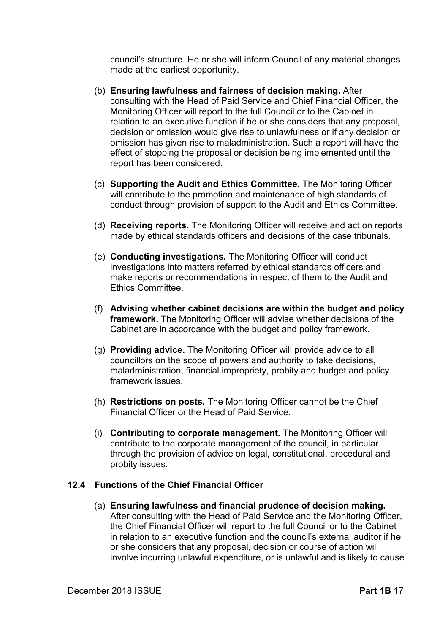council's structure. He or she will inform Council of any material changes made at the earliest opportunity.

- (b) **Ensuring lawfulness and fairness of decision making.** After consulting with the Head of Paid Service and Chief Financial Officer, the Monitoring Officer will report to the full Council or to the Cabinet in relation to an executive function if he or she considers that any proposal, decision or omission would give rise to unlawfulness or if any decision or omission has given rise to maladministration. Such a report will have the effect of stopping the proposal or decision being implemented until the report has been considered.
- (c) **Supporting the Audit and Ethics Committee.** The Monitoring Officer will contribute to the promotion and maintenance of high standards of conduct through provision of support to the Audit and Ethics Committee.
- (d) **Receiving reports.** The Monitoring Officer will receive and act on reports made by ethical standards officers and decisions of the case tribunals.
- (e) **Conducting investigations.** The Monitoring Officer will conduct investigations into matters referred by ethical standards officers and make reports or recommendations in respect of them to the Audit and Ethics Committee.
- (f) **Advising whether cabinet decisions are within the budget and policy framework.** The Monitoring Officer will advise whether decisions of the Cabinet are in accordance with the budget and policy framework.
- (g) **Providing advice.** The Monitoring Officer will provide advice to all councillors on the scope of powers and authority to take decisions, maladministration, financial impropriety, probity and budget and policy framework issues.
- (h) **Restrictions on posts.** The Monitoring Officer cannot be the Chief Financial Officer or the Head of Paid Service.
- (i) **Contributing to corporate management.** The Monitoring Officer will contribute to the corporate management of the council, in particular through the provision of advice on legal, constitutional, procedural and probity issues.

### **12.4 Functions of the Chief Financial Officer**

(a) **Ensuring lawfulness and financial prudence of decision making.**  After consulting with the Head of Paid Service and the Monitoring Officer, the Chief Financial Officer will report to the full Council or to the Cabinet in relation to an executive function and the council's external auditor if he or she considers that any proposal, decision or course of action will involve incurring unlawful expenditure, or is unlawful and is likely to cause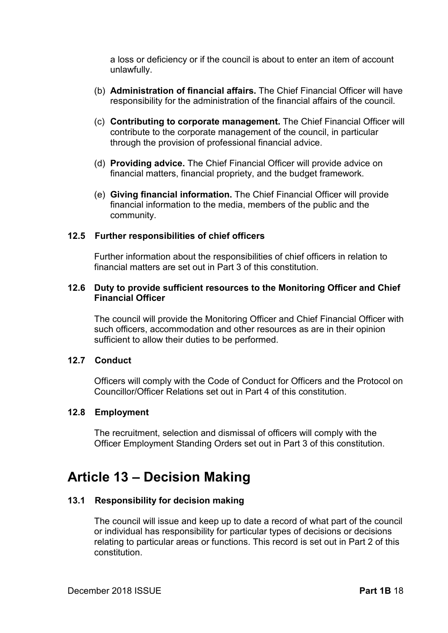a loss or deficiency or if the council is about to enter an item of account unlawfully.

- (b) **Administration of financial affairs.** The Chief Financial Officer will have responsibility for the administration of the financial affairs of the council.
- (c) **Contributing to corporate management.** The Chief Financial Officer will contribute to the corporate management of the council, in particular through the provision of professional financial advice.
- (d) **Providing advice.** The Chief Financial Officer will provide advice on financial matters, financial propriety, and the budget framework.
- (e) **Giving financial information.** The Chief Financial Officer will provide financial information to the media, members of the public and the community.

### **12.5 Further responsibilities of chief officers**

Further information about the responsibilities of chief officers in relation to financial matters are set out in Part 3 of this constitution.

#### **12.6 Duty to provide sufficient resources to the Monitoring Officer and Chief Financial Officer**

The council will provide the Monitoring Officer and Chief Financial Officer with such officers, accommodation and other resources as are in their opinion sufficient to allow their duties to be performed.

### **12.7 Conduct**

Officers will comply with the Code of Conduct for Officers and the Protocol on Councillor/Officer Relations set out in Part 4 of this constitution.

#### **12.8 Employment**

The recruitment, selection and dismissal of officers will comply with the Officer Employment Standing Orders set out in Part 3 of this constitution.

# **Article 13 – Decision Making**

#### **13.1 Responsibility for decision making**

The council will issue and keep up to date a record of what part of the council or individual has responsibility for particular types of decisions or decisions relating to particular areas or functions. This record is set out in Part 2 of this constitution.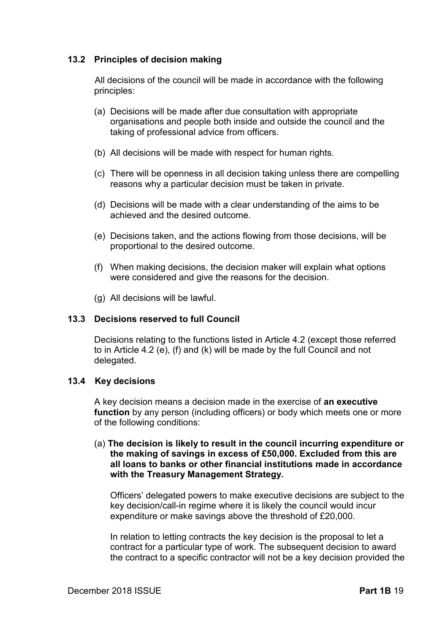### **13.2 Principles of decision making**

All decisions of the council will be made in accordance with the following principles:

- (a) Decisions will be made after due consultation with appropriate organisations and people both inside and outside the council and the taking of professional advice from officers.
- (b) All decisions will be made with respect for human rights.
- (c) There will be openness in all decision taking unless there are compelling reasons why a particular decision must be taken in private.
- (d) Decisions will be made with a clear understanding of the aims to be achieved and the desired outcome.
- (e) Decisions taken, and the actions flowing from those decisions, will be proportional to the desired outcome.
- (f) When making decisions, the decision maker will explain what options were considered and give the reasons for the decision.
- (g) All decisions will be lawful.

### **13.3 Decisions reserved to full Council**

Decisions relating to the functions listed in Article 4.2 (except those referred to in Article 4.2 (e), (f) and (k) will be made by the full Council and not delegated.

#### **13.4 Key decisions**

A key decision means a decision made in the exercise of **an executive function** by any person (including officers) or body which meets one or more of the following conditions:

(a) **The decision is likely to result in the council incurring expenditure or the making of savings in excess of £50,000. Excluded from this are all loans to banks or other financial institutions made in accordance with the Treasury Management Strategy.** 

Officers' delegated powers to make executive decisions are subject to the key decision/call-in regime where it is likely the council would incur expenditure or make savings above the threshold of £20,000.

In relation to letting contracts the key decision is the proposal to let a contract for a particular type of work. The subsequent decision to award the contract to a specific contractor will not be a key decision provided the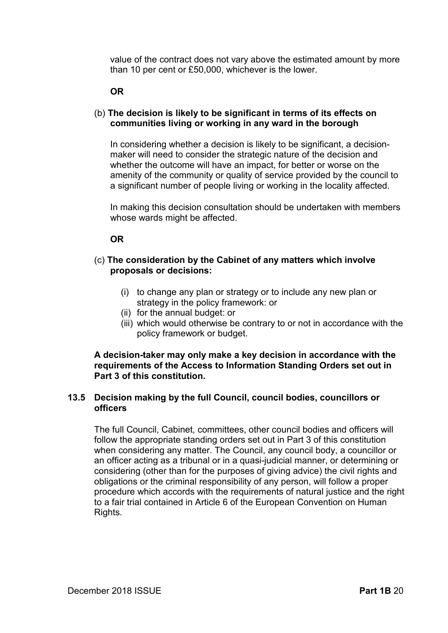value of the contract does not vary above the estimated amount by more than 10 per cent or £50,000, whichever is the lower.

### **OR**

### (b) **The decision is likely to be significant in terms of its effects on communities living or working in any ward in the borough**

In considering whether a decision is likely to be significant, a decisionmaker will need to consider the strategic nature of the decision and whether the outcome will have an impact, for better or worse on the amenity of the community or quality of service provided by the council to a significant number of people living or working in the locality affected.

In making this decision consultation should be undertaken with members whose wards might be affected.

### **OR**

### (c) **The consideration by the Cabinet of any matters which involve proposals or decisions:**

- (i) to change any plan or strategy or to include any new plan or strategy in the policy framework: or
- (ii) for the annual budget: or
- (iii) which would otherwise be contrary to or not in accordance with the policy framework or budget.

#### **A decision-taker may only make a key decision in accordance with the requirements of the Access to Information Standing Orders set out in Part 3 of this constitution.**

### **13.5 Decision making by the full Council, council bodies, councillors or officers**

The full Council, Cabinet, committees, other council bodies and officers will follow the appropriate standing orders set out in Part 3 of this constitution when considering any matter. The Council, any council body, a councillor or an officer acting as a tribunal or in a quasi-judicial manner, or determining or considering (other than for the purposes of giving advice) the civil rights and obligations or the criminal responsibility of any person, will follow a proper procedure which accords with the requirements of natural justice and the right to a fair trial contained in Article 6 of the European Convention on Human Rights.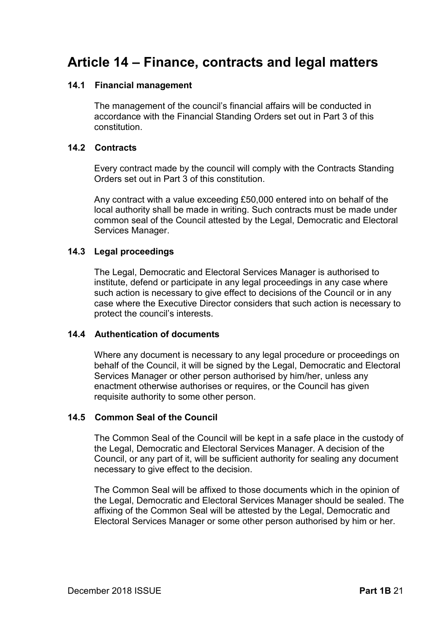# **Article 14 – Finance, contracts and legal matters**

### **14.1 Financial management**

The management of the council's financial affairs will be conducted in accordance with the Financial Standing Orders set out in Part 3 of this constitution.

### **14.2 Contracts**

Every contract made by the council will comply with the Contracts Standing Orders set out in Part 3 of this constitution.

Any contract with a value exceeding £50,000 entered into on behalf of the local authority shall be made in writing. Such contracts must be made under common seal of the Council attested by the Legal, Democratic and Electoral Services Manager.

### **14.3 Legal proceedings**

The Legal, Democratic and Electoral Services Manager is authorised to institute, defend or participate in any legal proceedings in any case where such action is necessary to give effect to decisions of the Council or in any case where the Executive Director considers that such action is necessary to protect the council's interests.

### **14.4 Authentication of documents**

Where any document is necessary to any legal procedure or proceedings on behalf of the Council, it will be signed by the Legal, Democratic and Electoral Services Manager or other person authorised by him/her, unless any enactment otherwise authorises or requires, or the Council has given requisite authority to some other person.

#### **14.5 Common Seal of the Council**

The Common Seal of the Council will be kept in a safe place in the custody of the Legal, Democratic and Electoral Services Manager. A decision of the Council, or any part of it, will be sufficient authority for sealing any document necessary to give effect to the decision.

The Common Seal will be affixed to those documents which in the opinion of the Legal, Democratic and Electoral Services Manager should be sealed. The affixing of the Common Seal will be attested by the Legal, Democratic and Electoral Services Manager or some other person authorised by him or her.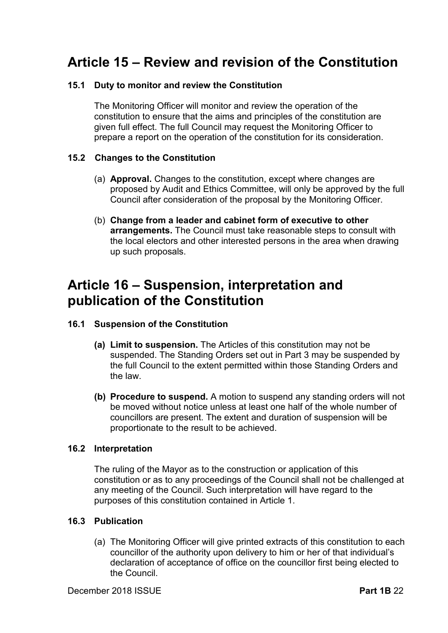# **Article 15 – Review and revision of the Constitution**

### **15.1 Duty to monitor and review the Constitution**

The Monitoring Officer will monitor and review the operation of the constitution to ensure that the aims and principles of the constitution are given full effect. The full Council may request the Monitoring Officer to prepare a report on the operation of the constitution for its consideration.

### **15.2 Changes to the Constitution**

- (a) **Approval.** Changes to the constitution, except where changes are proposed by Audit and Ethics Committee, will only be approved by the full Council after consideration of the proposal by the Monitoring Officer.
- (b) **Change from a leader and cabinet form of executive to other arrangements.** The Council must take reasonable steps to consult with the local electors and other interested persons in the area when drawing up such proposals.

# **Article 16 – Suspension, interpretation and publication of the Constitution**

### **16.1 Suspension of the Constitution**

- **(a) Limit to suspension.** The Articles of this constitution may not be suspended. The Standing Orders set out in Part 3 may be suspended by the full Council to the extent permitted within those Standing Orders and the law.
- **(b) Procedure to suspend.** A motion to suspend any standing orders will not be moved without notice unless at least one half of the whole number of councillors are present. The extent and duration of suspension will be proportionate to the result to be achieved.

### **16.2 Interpretation**

The ruling of the Mayor as to the construction or application of this constitution or as to any proceedings of the Council shall not be challenged at any meeting of the Council. Such interpretation will have regard to the purposes of this constitution contained in Article 1.

#### **16.3 Publication**

(a) The Monitoring Officer will give printed extracts of this constitution to each councillor of the authority upon delivery to him or her of that individual's declaration of acceptance of office on the councillor first being elected to the Council.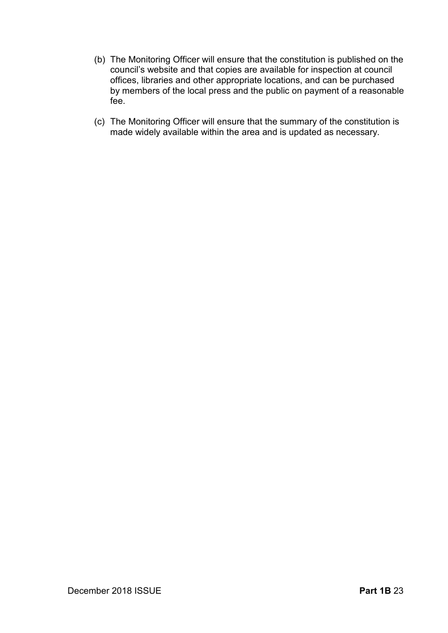- (b) The Monitoring Officer will ensure that the constitution is published on the council's website and that copies are available for inspection at council offices, libraries and other appropriate locations, and can be purchased by members of the local press and the public on payment of a reasonable fee.
- (c) The Monitoring Officer will ensure that the summary of the constitution is made widely available within the area and is updated as necessary.